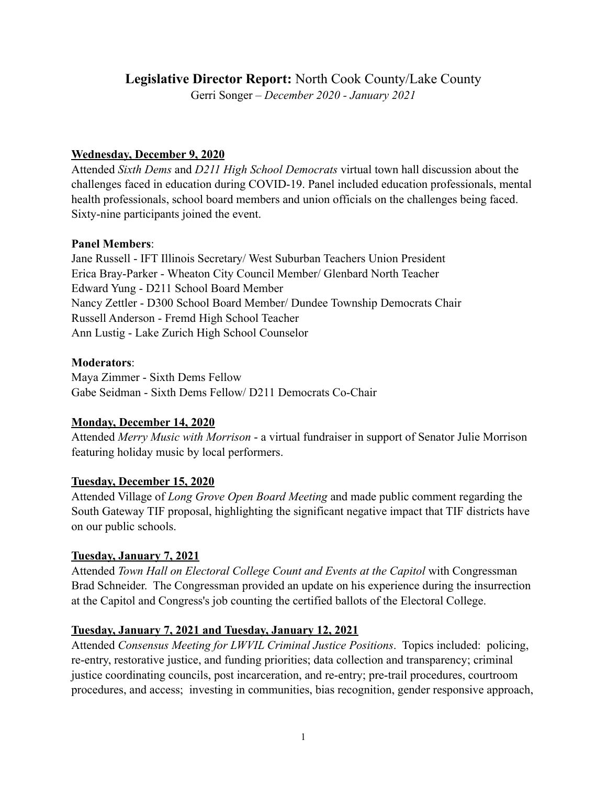# **Legislative Director Report:** North Cook County/Lake County

Gerri Songer – *December 2020 - January 2021*

## **Wednesday, December 9, 2020**

Attended *Sixth Dems* and *D211 High School Democrats* virtual town hall discussion about the challenges faced in education during COVID-19. Panel included education professionals, mental health professionals, school board members and union officials on the challenges being faced. Sixty-nine participants joined the event.

#### **Panel Members**:

Jane Russell - IFT Illinois Secretary/ West Suburban Teachers Union President Erica Bray-Parker - Wheaton City Council Member/ Glenbard North Teacher Edward Yung - D211 School Board Member Nancy Zettler - D300 School Board Member/ Dundee Township Democrats Chair Russell Anderson - Fremd High School Teacher Ann Lustig - Lake Zurich High School Counselor

## **Moderators**:

Maya Zimmer - Sixth Dems Fellow Gabe Seidman - Sixth Dems Fellow/ D211 Democrats Co-Chair

# **Monday, December 14, 2020**

Attended *Merry Music with Morrison* - a virtual fundraiser in support of Senator Julie Morrison featuring holiday music by local performers.

# **Tuesday, December 15, 2020**

Attended Village of *Long Grove Open Board Meeting* and made public comment regarding the South Gateway TIF proposal, highlighting the significant negative impact that TIF districts have on our public schools.

# **Tuesday, January 7, 2021**

Attended *Town Hall on Electoral College Count and Events at the Capitol* with Congressman Brad Schneider. The Congressman provided an update on his experience during the insurrection at the Capitol and Congress's job counting the certified ballots of the Electoral College.

# **Tuesday, January 7, 2021 and Tuesday, January 12, 2021**

Attended *Consensus Meeting for LWVIL Criminal Justice Positions*. Topics included: policing, re-entry, restorative justice, and funding priorities; data collection and transparency; criminal justice coordinating councils, post incarceration, and re-entry; pre-trail procedures, courtroom procedures, and access; investing in communities, bias recognition, gender responsive approach,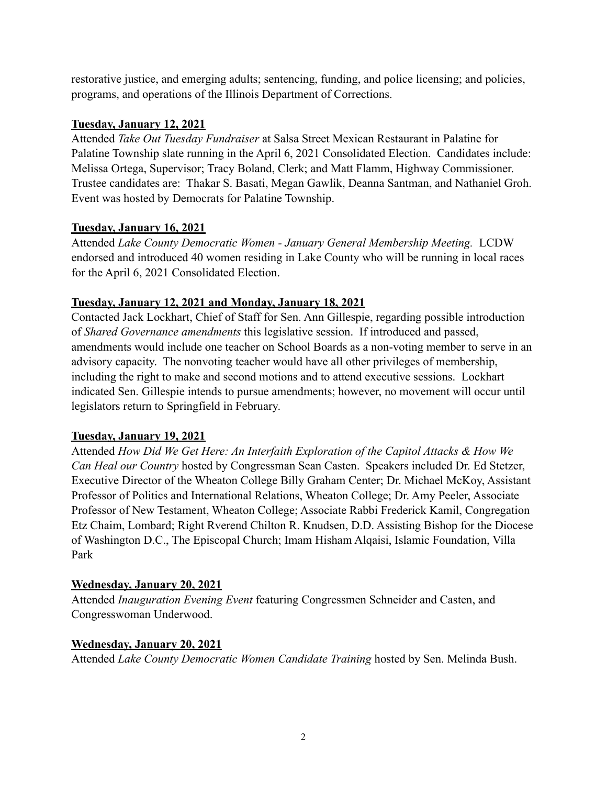restorative justice, and emerging adults; sentencing, funding, and police licensing; and policies, programs, and operations of the Illinois Department of Corrections.

## **Tuesday, January 12, 2021**

Attended *Take Out Tuesday Fundraiser* at Salsa Street Mexican Restaurant in Palatine for Palatine Township slate running in the April 6, 2021 Consolidated Election. Candidates include: Melissa Ortega, Supervisor; Tracy Boland, Clerk; and Matt Flamm, Highway Commissioner. Trustee candidates are: Thakar S. Basati, Megan Gawlik, Deanna Santman, and Nathaniel Groh. Event was hosted by Democrats for Palatine Township.

## **Tuesday, January 16, 2021**

Attended *Lake County Democratic Women - January General Membership Meeting.* LCDW endorsed and introduced 40 women residing in Lake County who will be running in local races for the April 6, 2021 Consolidated Election.

## **Tuesday, January 12, 2021 and Monday, January 18, 2021**

Contacted Jack Lockhart, Chief of Staff for Sen. Ann Gillespie, regarding possible introduction of *Shared Governance amendments* this legislative session. If introduced and passed, amendments would include one teacher on School Boards as a non-voting member to serve in an advisory capacity. The nonvoting teacher would have all other privileges of membership, including the right to make and second motions and to attend executive sessions. Lockhart indicated Sen. Gillespie intends to pursue amendments; however, no movement will occur until legislators return to Springfield in February.

#### **Tuesday, January 19, 2021**

Attended *How Did We Get Here: An Interfaith Exploration of the Capitol Attacks & How We Can Heal our Country* hosted by Congressman Sean Casten. Speakers included Dr. Ed Stetzer, Executive Director of the Wheaton College Billy Graham Center; Dr. Michael McKoy, Assistant Professor of Politics and International Relations, Wheaton College; Dr. Amy Peeler, Associate Professor of New Testament, Wheaton College; Associate Rabbi Frederick Kamil, Congregation Etz Chaim, Lombard; Right Rverend Chilton R. Knudsen, D.D. Assisting Bishop for the Diocese of Washington D.C., The Episcopal Church; Imam Hisham Alqaisi, Islamic Foundation, Villa Park

#### **Wednesday, January 20, 2021**

Attended *Inauguration Evening Event* featuring Congressmen Schneider and Casten, and Congresswoman Underwood.

#### **Wednesday, January 20, 2021**

Attended *Lake County Democratic Women Candidate Training* hosted by Sen. Melinda Bush.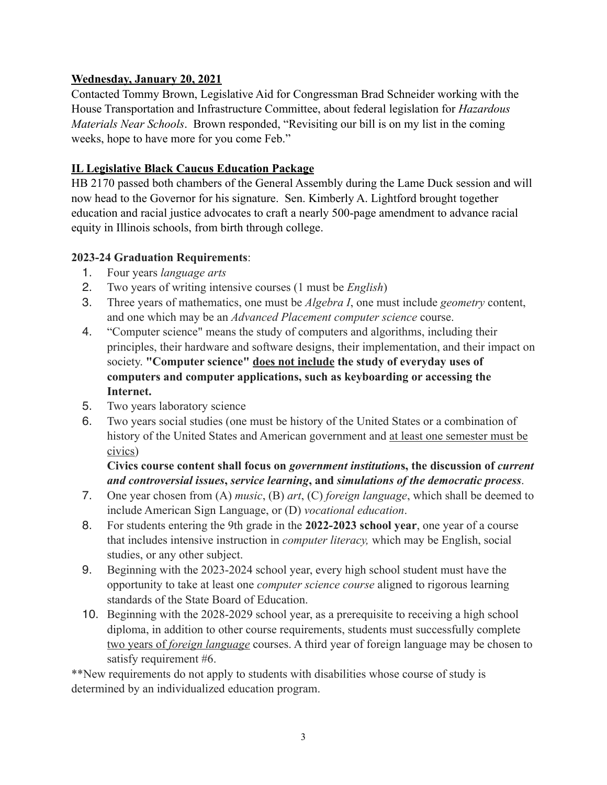## **Wednesday, January 20, 2021**

Contacted Tommy Brown, Legislative Aid for Congressman Brad Schneider working with the House Transportation and Infrastructure Committee, about federal legislation for *Hazardous Materials Near Schools*. Brown responded, "Revisiting our bill is on my list in the coming weeks, hope to have more for you come Feb."

## **IL Legislative Black Caucus Education Package**

HB 2170 passed both chambers of the General Assembly during the Lame Duck session and will now head to the Governor for his signature. Sen. Kimberly A. Lightford brought together education and racial justice advocates to craft a nearly 500-page amendment to advance racial equity in Illinois schools, from birth through college.

## **2023-24 Graduation Requirements**:

- 1. Four years *language arts*
- 2. Two years of writing intensive courses (1 must be *English*)
- 3. Three years of mathematics, one must be *Algebra I*, one must include *geometry* content, and one which may be an *Advanced Placement computer science* course.
- 4. "Computer science" means the study of computers and algorithms, including their principles, their hardware and software designs, their implementation, and their impact on society. **"Computer science" does not include the study of everyday uses of computers and computer applications, such as keyboarding or accessing the Internet.**
- 5. Two years laboratory science
- 6. Two years social studies (one must be history of the United States or a combination of history of the United States and American government and at least one semester must be civics)

# **Civics course content shall focus on** *government institution***s, the discussion of** *current and controversial issues***,** *service learning***, and** *simulations of the democratic process*.

- 7. One year chosen from (A) *music*, (B) *art*, (C) *foreign language*, which shall be deemed to include American Sign Language, or (D) *vocational education*.
- 8. For students entering the 9th grade in the **2022-2023 school year**, one year of a course that includes intensive instruction in *computer literacy,* which may be English, social studies, or any other subject.
- 9. Beginning with the 2023-2024 school year, every high school student must have the opportunity to take at least one *computer science course* aligned to rigorous learning standards of the State Board of Education.
- 10. Beginning with the 2028-2029 school year, as a prerequisite to receiving a high school diploma, in addition to other course requirements, students must successfully complete two years of *foreign language* courses. A third year of foreign language may be chosen to satisfy requirement #6.

\*\*New requirements do not apply to students with disabilities whose course of study is determined by an individualized education program.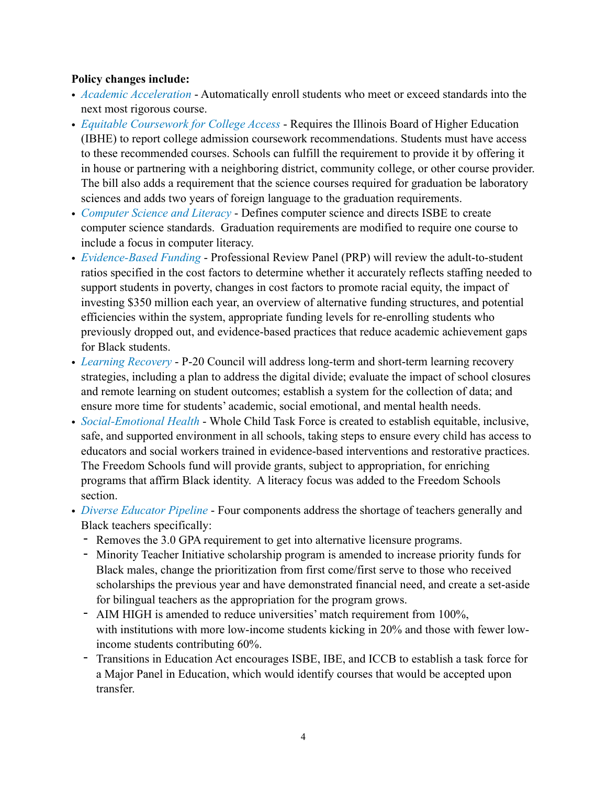#### **Policy changes include:**

- *Academic Acceleration* Automatically enroll students who meet or exceed standards into the next most rigorous course.
- *Equitable Coursework for College Access* Requires the Illinois Board of Higher Education (IBHE) to report college admission coursework recommendations. Students must have access to these recommended courses. Schools can fulfill the requirement to provide it by offering it in house or partnering with a neighboring district, community college, or other course provider. The bill also adds a requirement that the science courses required for graduation be laboratory sciences and adds two years of foreign language to the graduation requirements.
- *Computer Science and Literacy* Defines computer science and directs ISBE to create computer science standards. Graduation requirements are modified to require one course to include a focus in computer literacy.
- *Evidence-Based Funding* Professional Review Panel (PRP) will review the adult-to-student ratios specified in the cost factors to determine whether it accurately reflects staffing needed to support students in poverty, changes in cost factors to promote racial equity, the impact of investing \$350 million each year, an overview of alternative funding structures, and potential efficiencies within the system, appropriate funding levels for re-enrolling students who previously dropped out, and evidence-based practices that reduce academic achievement gaps for Black students.
- *Learning Recovery* P-20 Council will address long-term and short-term learning recovery strategies, including a plan to address the digital divide; evaluate the impact of school closures and remote learning on student outcomes; establish a system for the collection of data; and ensure more time for students' academic, social emotional, and mental health needs.
- *Social-Emotional Health* Whole Child Task Force is created to establish equitable, inclusive, safe, and supported environment in all schools, taking steps to ensure every child has access to educators and social workers trained in evidence-based interventions and restorative practices. The Freedom Schools fund will provide grants, subject to appropriation, for enriching programs that affirm Black identity. A literacy focus was added to the Freedom Schools section.
- *Diverse Educator Pipeline* Four components address the shortage of teachers generally and Black teachers specifically:
	- Removes the 3.0 GPA requirement to get into alternative licensure programs.
	- Minority Teacher Initiative scholarship program is amended to increase priority funds for Black males, change the prioritization from first come/first serve to those who received scholarships the previous year and have demonstrated financial need, and create a set-aside for bilingual teachers as the appropriation for the program grows.
	- AIM HIGH is amended to reduce universities' match requirement from 100%, with institutions with more low-income students kicking in 20% and those with fewer lowincome students contributing 60%.
	- Transitions in Education Act encourages ISBE, IBE, and ICCB to establish a task force for a Major Panel in Education, which would identify courses that would be accepted upon transfer.